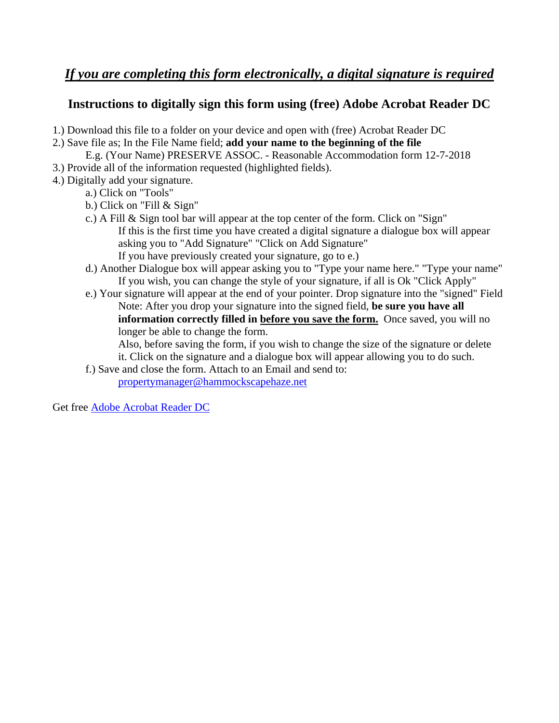# *If you are completing this form electronically, a digital signature is required*

## **Instructions to digitally sign this form using (free) Adobe Acrobat Reader DC**

1.) Download this file to a folder on your device and open with (free) Acrobat Reader DC

- 2.) Save file as; In the File Name field; **add your name to the beginning of the file**
	- E.g. (Your Name) PRESERVE ASSOC. Reasonable Accommodation form 12-7-2018
- 3.) Provide all of the information requested (highlighted fields).
- 4.) Digitally add your signature.
	- a.) Click on "Tools"
	- b.) Click on "Fill & Sign"
	- c.) A Fill & Sign tool bar will appear at the top center of the form. Click on "Sign" If this is the first time you have created a digital signature a dialogue box will appear asking you to "Add Signature" "Click on Add Signature" If you have previously created your signature, go to e.)
	- d.) Another Dialogue box will appear asking you to "Type your name here." "Type your name" If you wish, you can change the style of your signature, if all is Ok "Click Apply"
	- e.) Your signature will appear at the end of your pointer. Drop signature into the "signed" Field Note: After you drop your signature into the signed field, **be sure you have all information correctly filled in before you save the form.** Once saved, you will no longer be able to change the form.

 Also, before saving the form, if you wish to change the size of the signature or delete it. Click on the signature and a dialogue box will appear allowing you to do such.

f.) Save and close the form. Attach to an Email and send to:

propertymanager@hammockscapehaze.net

Get free [Adobe Acrobat Reader DC](https://get.adobe.com/reader/)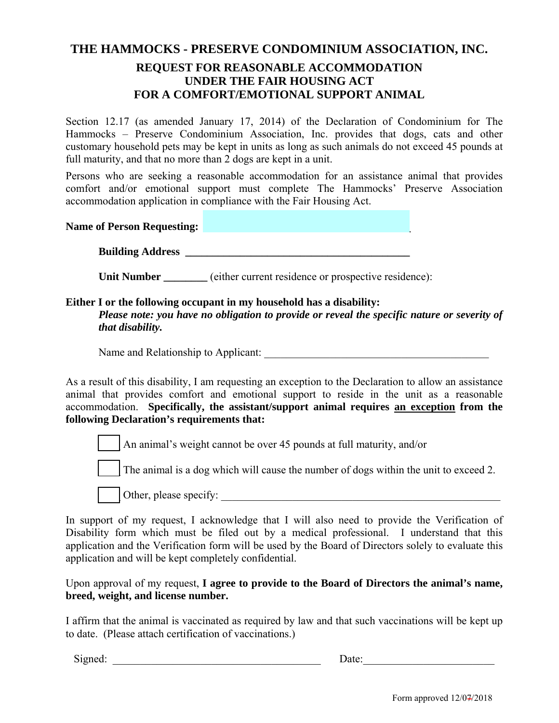## **THE HAMMOCKS - PRESERVE CONDOMINIUM ASSOCIATION, INC. REQUEST FOR REASONABLE ACCOMMODATION UNDER THE FAIR HOUSING ACT FOR A COMFORT/EMOTIONAL SUPPORT ANIMAL**

Section 12.17 (as amended January 17, 2014) of the Declaration of Condominium for The Hammocks – Preserve Condominium Association, Inc. provides that dogs, cats and other customary household pets may be kept in units as long as such animals do not exceed 45 pounds at full maturity, and that no more than 2 dogs are kept in a unit.

Persons who are seeking a reasonable accommodation for an assistance animal that provides comfort and/or emotional support must complete The Hammocks' Preserve Association accommodation application in compliance with the Fair Housing Act.

**Name of Person Requesting: Name of Person Requesting:** 

**Building Address** 

**Unit Number** (either current residence or prospective residence):

#### **Either I or the following occupant in my household has a disability:**

*Please note: you have no obligation to provide or reveal the specific nature or severity of that disability.* 

Name and Relationship to Applicant:

As a result of this disability, I am requesting an exception to the Declaration to allow an assistance animal that provides comfort and emotional support to reside in the unit as a reasonable accommodation. **Specifically, the assistant/support animal requires an exception from the following Declaration's requirements that:**

An animal's weight cannot be over 45 pounds at full maturity, and/or

The animal is a dog which will cause the number of dogs within the unit to exceed 2.

 $\Box$  Other, please specify:

In support of my request, I acknowledge that I will also need to provide the Verification of Disability form which must be filed out by a medical professional. I understand that this application and the Verification form will be used by the Board of Directors solely to evaluate this application and will be kept completely confidential.

Upon approval of my request, **I agree to provide to the Board of Directors the animal's name, breed, weight, and license number.**

I affirm that the animal is vaccinated as required by law and that such vaccinations will be kept up to date. (Please attach certification of vaccinations.)

Signed: \_\_\_\_\_\_\_\_\_\_\_\_\_\_\_\_\_\_\_\_\_\_\_\_\_\_\_\_\_\_\_\_\_\_\_\_\_\_ Date:\_\_\_\_\_\_\_\_\_\_\_\_\_\_\_\_\_\_\_\_\_\_\_\_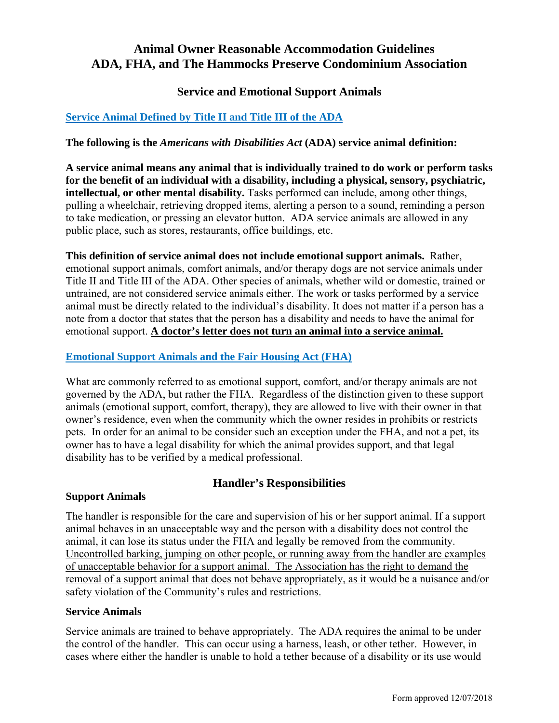## **Animal Owner Reasonable Accommodation Guidelines ADA, FHA, and The Hammocks Preserve Condominium Association**

## **Service and Emotional Support Animals**

## **[Service Animal Defined by Title II and Title III of the ADA](https://adata.org/publication/service-animals-booklet)**

#### **The following is the** *Americans with Disabilities Act* **(ADA) service animal definition:**

**A service animal means any animal that is individually trained to do work or perform tasks for the benefit of an individual with a disability, including a physical, sensory, psychiatric, intellectual, or other mental disability.** Tasks performed can include, among other things, pulling a wheelchair, retrieving dropped items, alerting a person to a sound, reminding a person to take medication, or pressing an elevator button. ADA service animals are allowed in any public place, such as stores, restaurants, office buildings, etc.

**This definition of service animal does not include emotional support animals.** Rather, emotional support animals, comfort animals, and/or therapy dogs are not service animals under Title II and Title III of the ADA. Other species of animals, whether wild or domestic, trained or untrained, are not considered service animals either. The work or tasks performed by a service animal must be directly related to the individual's disability. It does not matter if a person has a note from a doctor that states that the person has a disability and needs to have the animal for emotional support. **A doctor's letter does not turn an animal into a service animal.**

#### **Emotional Support Animals and the Fair Housing Act (FHA)**

What are commonly referred to as emotional support, comfort, and/or therapy animals are not governed by the ADA, but rather the FHA. Regardless of the distinction given to these support animals (emotional support, comfort, therapy), they are allowed to live with their owner in that owner's residence, even when the community which the owner resides in prohibits or restricts pets. In order for an animal to be consider such an exception under the FHA, and not a pet, its owner has to have a legal disability for which the animal provides support, and that legal disability has to be verified by a medical professional.

### **Handler's Responsibilities**

#### **Support Animals**

The handler is responsible for the care and supervision of his or her support animal. If a support animal behaves in an unacceptable way and the person with a disability does not control the animal, it can lose its status under the FHA and legally be removed from the community. Uncontrolled barking, jumping on other people, or running away from the handler are examples of unacceptable behavior for a support animal. The Association has the right to demand the removal of a support animal that does not behave appropriately, as it would be a nuisance and/or safety violation of the Community's rules and restrictions.

#### **Service Animals**

Service animals are trained to behave appropriately. The ADA requires the animal to be under the control of the handler. This can occur using a harness, leash, or other tether. However, in cases where either the handler is unable to hold a tether because of a disability or its use would